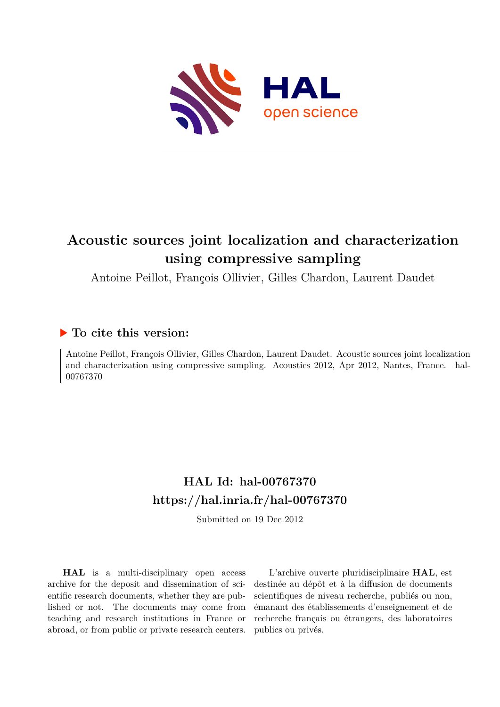

# **Acoustic sources joint localization and characterization using compressive sampling**

Antoine Peillot, François Ollivier, Gilles Chardon, Laurent Daudet

# **To cite this version:**

Antoine Peillot, François Ollivier, Gilles Chardon, Laurent Daudet. Acoustic sources joint localization and characterization using compressive sampling. Acoustics 2012, Apr 2012, Nantes, France. hal-00767370ff

# **HAL Id: hal-00767370 <https://hal.inria.fr/hal-00767370>**

Submitted on 19 Dec 2012

**HAL** is a multi-disciplinary open access archive for the deposit and dissemination of scientific research documents, whether they are published or not. The documents may come from teaching and research institutions in France or abroad, or from public or private research centers.

L'archive ouverte pluridisciplinaire **HAL**, est destinée au dépôt et à la diffusion de documents scientifiques de niveau recherche, publiés ou non, émanant des établissements d'enseignement et de recherche français ou étrangers, des laboratoires publics ou privés.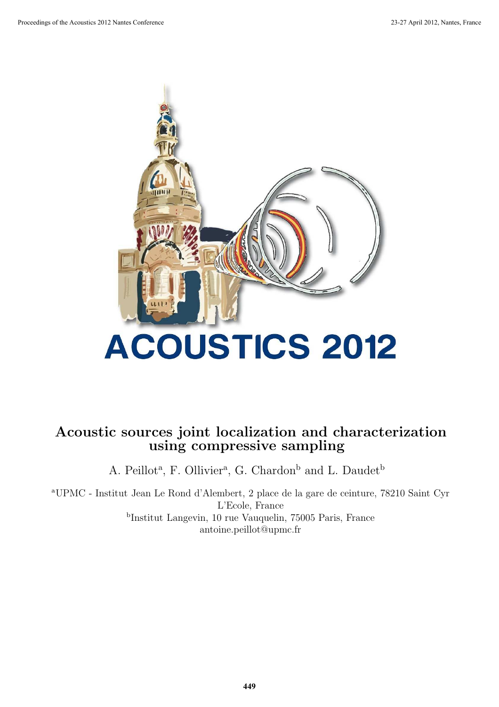

# Acoustic sources joint localization and characterization using compressive sampling

A. Peillot<sup>a</sup>, F. Ollivier<sup>a</sup>, G. Chardon<sup>b</sup> and L. Daudet<sup>b</sup>

<sup>a</sup>UPMC - Institut Jean Le Rond d'Alembert, 2 place de la gare de ceinture, 78210 Saint Cyr L'Ecole, France b Institut Langevin, 10 rue Vauquelin, 75005 Paris, France antoine.peillot@upmc.fr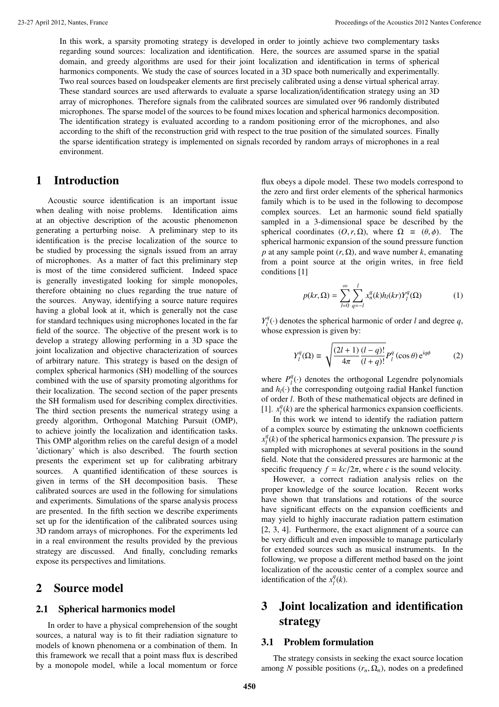In this work, a sparsity promoting strategy is developed in order to jointly achieve two complementary tasks regarding sound sources: localization and identification. Here, the sources are assumed sparse in the spatial domain, and greedy algorithms are used for their joint localization and identification in terms of spherical harmonics components. We study the case of sources located in a 3D space both numerically and experimentally. Two real sources based on loudspeaker elements are first precisely calibrated using a dense virtual spherical array. These standard sources are used afterwards to evaluate a sparse localization/identification strategy using an 3D array of microphones. Therefore signals from the calibrated sources are simulated over 96 randomly distributed microphones. The sparse model of the sources to be found mixes location and spherical harmonics decomposition. The identification strategy is evaluated according to a random positioning error of the microphones, and also according to the shift of the reconstruction grid with respect to the true position of the simulated sources. Finally the sparse identification strategy is implemented on signals recorded by random arrays of microphones in a real environment.

## 1 Introduction

Acoustic source identification is an important issue when dealing with noise problems. Identification aims at an objective description of the acoustic phenomenon generating a perturbing noise. A preliminary step to its identification is the precise localization of the source to be studied by processing the signals issued from an array of microphones. As a matter of fact this preliminary step is most of the time considered sufficient. Indeed space is generally investigated looking for simple monopoles, therefore obtaining no clues regarding the true nature of the sources. Anyway, identifying a source nature requires having a global look at it, which is generally not the case for standard techniques using microphones located in the far field of the source. The objective of the present work is to develop a strategy allowing performing in a 3D space the joint localization and objective characterization of sources of arbitrary nature. This strategy is based on the design of complex spherical harmonics (SH) modelling of the sources combined with the use of sparsity promoting algorithms for their localization. The second section of the paper presents the SH formalism used for describing complex directivities. The third section presents the numerical strategy using a greedy algorithm, Orthogonal Matching Pursuit (OMP), to achieve jointly the localization and identification tasks. This OMP algorithm relies on the careful design of a model 'dictionary' which is also described. The fourth section presents the experiment set up for calibrating arbitrary sources. A quantified identification of these sources is given in terms of the SH decomposition basis. These calibrated sources are used in the following for simulations and experiments. Simulations of the sparse analysis process are presented. In the fifth section we describe experiments set up for the identification of the calibrated sources using 3D random arrays of microphones. For the experiments led in a real environment the results provided by the previous strategy are discussed. And finally, concluding remarks expose its perspectives and limitations.

## 2 Source model

### 2.1 Spherical harmonics model

In order to have a physical comprehension of the sought sources, a natural way is to fit their radiation signature to models of known phenomena or a combination of them. In this framework we recall that a point mass flux is described by a monopole model, while a local momentum or force flux obeys a dipole model. These two models correspond to the zero and first order elements of the spherical harmonics family which is to be used in the following to decompose complex sources. Let an harmonic sound field spatially sampled in a 3-dimensional space be described by the spherical coordinates  $(0, r, \Omega)$ , where  $\Omega \equiv (\theta, \phi)$ . The spherical harmonic expansion of the sound pressure function *p* at any sample point  $(r, \Omega)$ , and wave number *k*, emanating from a point source at the origin writes, in free field conditions [1]

$$
p(kr,\Omega) = \sum_{l=0}^{\infty} \sum_{q=-l}^{l} x_n^q(k) h_l(kr) Y_l^q(\Omega)
$$
 (1)

 $Y_l^q(\cdot)$  denotes the spherical harmonic of order *l* and degree *q*, whose expression is given by:

$$
Y_{l}^{q}(\Omega) \equiv \sqrt{\frac{(2l+1)}{4\pi} \frac{(l-q)!}{(l+q)!}} P_{l}^{q}(\cos\theta) e^{iq\phi}
$$
 (2)

where  $P_l^q(\cdot)$  denotes the orthogonal Legendre polynomials and  $h_l(\cdot)$  the corresponding outgoing radial Hankel function of order *l*. Both of these mathematical objects are defined in [1].  $x_l^q(k)$  are the spherical harmonics expansion coefficients.

In this work we intend to identify the radiation pattern of a complex source by estimating the unknown coefficients  $x_i^q(k)$  of the spherical harmonics expansion. The pressure *p* is sampled with microphones at several positions in the sound field. Note that the considered pressures are harmonic at the specific frequency  $f = kc/2\pi$ , where *c* is the sound velocity.

However, a correct radiation analysis relies on the proper knowledge of the source location. Recent works have shown that translations and rotations of the source have significant effects on the expansion coefficients and may yield to highly inaccurate radiation pattern estimation [2, 3, 4]. Furthermore, the exact alignment of a source can be very difficult and even impossible to manage particularly for extended sources such as musical instruments. In the following, we propose a different method based on the joint localization of the acoustic center of a complex source and identification of the  $x_l^q(k)$ .

## 3 Joint localization and identification strategy

## 3.1 Problem formulation

The strategy consists in seeking the exact source location among *N* possible positions  $(r_n, \Omega_n)$ , nodes on a predefined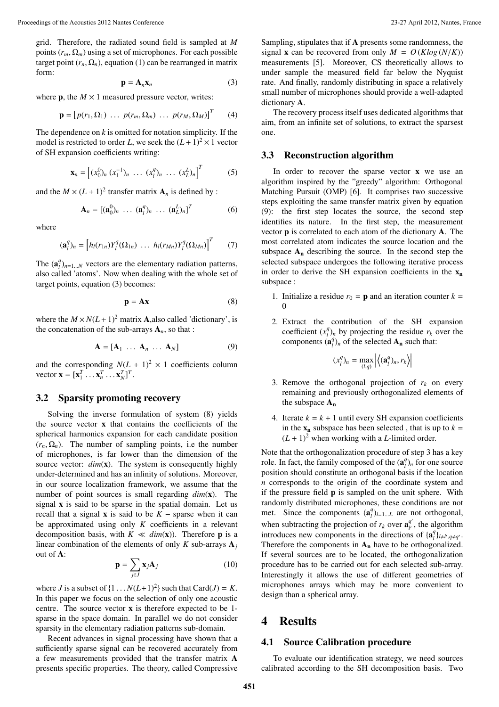grid. Therefore, the radiated sound field is sampled at *M* points  $(r_m, \Omega_m)$  using a set of microphones. For each possible target point  $(r_n, \Omega_n)$ , equation (1) can be rearranged in matrix form:

$$
\mathbf{p} = \mathbf{A}_n \mathbf{x}_n \tag{3}
$$

where **p**, the  $M \times 1$  measured pressure vector, writes:

$$
\mathbf{p} = [p(r_1, \Omega_1) \dots p(r_m, \Omega_m) \dots p(r_M, \Omega_M)]^T \qquad (4)
$$

The dependence on  $k$  is omitted for notation simplicity. If the model is restricted to order *L*, we seek the  $(L + 1)^2 \times 1$  vector of SH expansion coefficients writing:

$$
\mathbf{x}_n = \left[ (x_0^0)_n (x_1^{-1})_n \ \dots \ (x_l^q)_n \ \dots \ (x_L^L)_n \right]^T \tag{5}
$$

and the  $M \times (L + 1)^2$  transfer matrix  $A_n$  is defined by :

$$
\mathbf{A}_n = [(\mathbf{a}_0^0)_n \ \dots \ (\mathbf{a}_l^q)_n \ \dots \ (\mathbf{a}_L^L)_n]^T \tag{6}
$$

where

$$
(\mathbf{a}_l^q)_n = \left[h_l(r_{1n})Y_l^q(\Omega_{1n})\ \dots\ h_l(r_{Mn})Y_l^q(\Omega_{Mn})\right]^T\tag{7}
$$

The  $(\mathbf{a}_l^q)_{n=1...N}$  vectors are the elementary radiation patterns, also called 'atoms'. Now when dealing with the whole set of target points, equation (3) becomes:

$$
\mathbf{p} = \mathbf{A}\mathbf{x} \tag{8}
$$

where the  $M \times N(L+1)^2$  matrix **A**, also called 'dictionary', is the concatenation of the sub-arrays  $A_n$ , so that :

$$
\mathbf{A} = [\mathbf{A}_1 \ \dots \ \mathbf{A}_n \ \dots \ \mathbf{A}_N] \tag{9}
$$

and the corresponding  $N(L + 1)^2 \times 1$  coefficients column vector  $\mathbf{x} = [\mathbf{x}_1^T \dots \mathbf{x}_n^T \dots \mathbf{x}_N^T]^T$ .

### 3.2 Sparsity promoting recovery

Solving the inverse formulation of system (8) yields the source vector x that contains the coefficients of the spherical harmonics expansion for each candidate position  $(r_n, \Omega_n)$ . The number of sampling points, i.e the number of microphones, is far lower than the dimension of the source vector:  $dim(x)$ . The system is consequently highly under-determined and has an infinity of solutions. Moreover, in our source localization framework, we assume that the number of point sources is small regarding *dim*(x). The signal x is said to be sparse in the spatial domain. Let us recall that a signal **x** is said to be  $K$  – sparse when it can be approximated using only *K* coefficients in a relevant decomposition basis, with  $K \ll dim(x)$ ). Therefore **p** is a linear combination of the elements of only *K* sub-arrays  $A_i$ out of A:

$$
\mathbf{p} = \sum_{j \in J} \mathbf{x}_j \mathbf{A}_j \tag{10}
$$

where *J* is a subset of  $\{1 \dots N(L+1)^2\}$  such that Card(*J*) = *K*. In this paper we focus on the selection of only one acoustic centre. The source vector x is therefore expected to be 1 sparse in the space domain. In parallel we do not consider sparsity in the elementary radiation patterns sub-domain.

Recent advances in signal processing have shown that a sufficiently sparse signal can be recovered accurately from a few measurements provided that the transfer matrix A presents specific properties. The theory, called Compressive Sampling, stipulates that if A presents some randomness, the signal **x** can be recovered from only  $M = O(K \log(N/K))$ measurements [5]. Moreover, CS theoretically allows to under sample the measured field far below the Nyquist rate. And finally, randomly distributing in space a relatively small number of microphones should provide a well-adapted dictionary A.

The recovery process itself uses dedicated algorithms that aim, from an infinite set of solutions, to extract the sparsest one.

### 3.3 Reconstruction algorithm

In order to recover the sparse vector  $x$  we use an algorithm inspired by the "greedy" algorithm: Orthogonal Matching Pursuit (OMP) [6]. It comprises two successive steps exploiting the same transfer matrix given by equation (9): the first step locates the source, the second step identifies its nature. In the first step, the measurement vector p is correlated to each atom of the dictionary A. The most correlated atom indicates the source location and the subspace  $A_n$  describing the source. In the second step the selected subspace undergoes the following iterative process in order to derive the SH expansion coefficients in the  $x_n$ subspace :

- 1. Initialize a residue  $r_0 = \mathbf{p}$  and an iteration counter  $k =$  $\theta$
- 2. Extract the contribution of the SH expansion coefficient  $(x_l^q)_n$  by projecting the residue  $r_k$  over the components  $(\mathbf{a}_l^q)_n$  of the selected  $\mathbf{A}_n$  such that:

$$
(x_l^q)_n = \max_{(l,q)} \left| \left\langle (\mathbf{a}_l^q)_n, r_k \right\rangle \right|
$$

- 3. Remove the orthogonal projection of  $r_k$  on every remaining and previously orthogonalized elements of the subspace  $A_n$
- 4. Iterate  $k = k + 1$  until every SH expansion coefficients in the  $x_n$  subspace has been selected, that is up to  $k =$  $(L + 1)^2$  when working with a *L*-limited order.

Note that the orthogonalization procedure of step 3 has a key role. In fact, the family composed of the  $(\mathbf{a}_l^q)_n$  for one source position should constitute an orthogonal basis if the location *n* corresponds to the origin of the coordinate system and if the pressure field p is sampled on the unit sphere. With randomly distributed microphones, these conditions are not met. Since the components  $(\mathbf{a}_l^q)_{l=1...L}$  are not orthogonal, when subtracting the projection of  $r_k$  over  $\mathbf{a}_k^{q'}$ , the algorithm introduces new components in the directions of  $\{a_i^q\}_{i\neq l', q\neq q'}$ . Therefore the components in  $A_n$  have to be orthogonalized. If several sources are to be located, the orthogonalization procedure has to be carried out for each selected sub-array. Interestingly it allows the use of different geometries of microphones arrays which may be more convenient to design than a spherical array.

## 4 Results

### 4.1 Source Calibration procedure

To evaluate our identification strategy, we need sources calibrated according to the SH decomposition basis. Two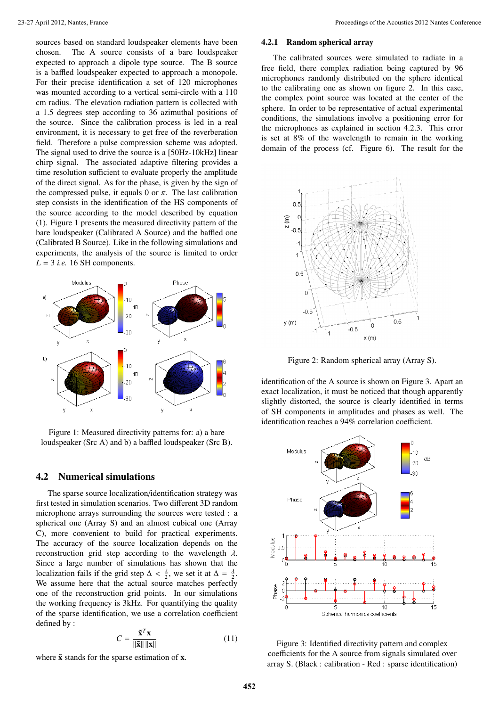sources based on standard loudspeaker elements have been chosen. The A source consists of a bare loudspeaker expected to approach a dipole type source. The B source is a baffled loudspeaker expected to approach a monopole. For their precise identification a set of 120 microphones was mounted according to a vertical semi-circle with a 110 cm radius. The elevation radiation pattern is collected with a 1.5 degrees step according to 36 azimuthal positions of the source. Since the calibration process is led in a real environment, it is necessary to get free of the reverberation field. Therefore a pulse compression scheme was adopted. The signal used to drive the source is a [50Hz-10kHz] linear chirp signal. The associated adaptive filtering provides a time resolution sufficient to evaluate properly the amplitude of the direct signal. As for the phase, is given by the sign of the compressed pulse, it equals 0 or  $\pi$ . The last calibration step consists in the identification of the HS components of the source according to the model described by equation (1). Figure 1 presents the measured directivity pattern of the bare loudspeaker (Calibrated A Source) and the baffled one (Calibrated B Source). Like in the following simulations and experiments, the analysis of the source is limited to order  $L = 3$  *i.e.* 16 SH components.



Figure 1: Measured directivity patterns for: a) a bare loudspeaker (Src A) and b) a baffled loudspeaker (Src B).

## 4.2 Numerical simulations

The sparse source localization/identification strategy was first tested in simulation scenarios. Two different 3D random microphone arrays surrounding the sources were tested : a spherical one (Array S) and an almost cubical one (Array C), more convenient to build for practical experiments. The accuracy of the source localization depends on the reconstruction grid step according to the wavelength  $\lambda$ . Since a large number of simulations has shown that the localization fails if the grid step  $\Delta < \frac{\lambda}{2}$ , we set it at  $\Delta = \frac{\lambda}{2}$ . We assume here that the actual source matches perfectly one of the reconstruction grid points. In our simulations the working frequency is 3kHz. For quantifying the quality of the sparse identification, we use a correlation coefficient defined by :

$$
C = \frac{\tilde{\mathbf{x}}^T \mathbf{x}}{\|\tilde{\mathbf{x}}\| \|\mathbf{x}\|} \tag{11}
$$

where  $\tilde{x}$  stands for the sparse estimation of  $x$ .

#### 4.2.1 Random spherical array

The calibrated sources were simulated to radiate in a free field, there complex radiation being captured by 96 microphones randomly distributed on the sphere identical to the calibrating one as shown on figure 2. In this case, the complex point source was located at the center of the sphere. In order to be representative of actual experimental conditions, the simulations involve a positioning error for the microphones as explained in section 4.2.3. This error is set at 8% of the wavelength to remain in the working domain of the process (cf. Figure 6). The result for the



Figure 2: Random spherical array (Array S).

identification of the A source is shown on Figure 3. Apart an exact localization, it must be noticed that though apparently slightly distorted, the source is clearly identified in terms of SH components in amplitudes and phases as well. The identification reaches a 94% correlation coefficient.



Figure 3: Identified directivity pattern and complex coefficients for the A source from signals simulated over array S. (Black : calibration - Red : sparse identification)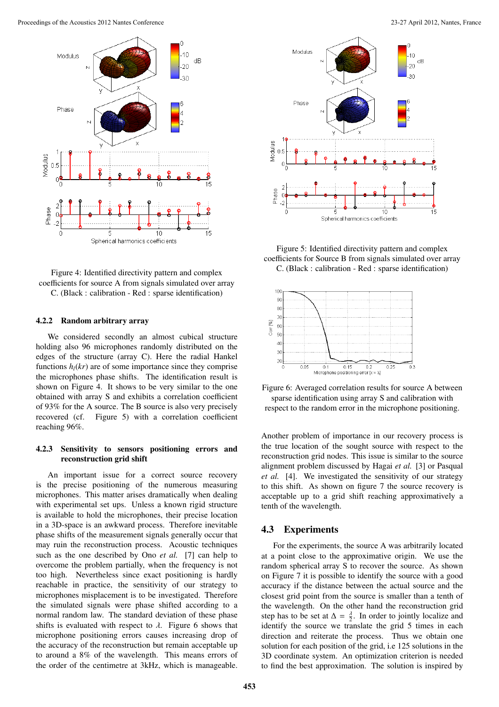

Figure 4: Identified directivity pattern and complex coefficients for source A from signals simulated over array C. (Black : calibration - Red : sparse identification)

#### 4.2.2 Random arbitrary array

We considered secondly an almost cubical structure holding also 96 microphones randomly distributed on the edges of the structure (array C). Here the radial Hankel functions  $h_l(kr)$  are of some importance since they comprise the microphones phase shifts. The identification result is shown on Figure 4. It shows to be very similar to the one obtained with array S and exhibits a correlation coefficient of 93% for the A source. The B source is also very precisely recovered (cf. Figure 5) with a correlation coefficient reaching 96%.

### 4.2.3 Sensitivity to sensors positioning errors and reconstruction grid shift

An important issue for a correct source recovery is the precise positioning of the numerous measuring microphones. This matter arises dramatically when dealing with experimental set ups. Unless a known rigid structure is available to hold the microphones, their precise location in a 3D-space is an awkward process. Therefore inevitable phase shifts of the measurement signals generally occur that may ruin the reconstruction process. Acoustic techniques such as the one described by Ono *et al.* [7] can help to overcome the problem partially, when the frequency is not too high. Nevertheless since exact positioning is hardly reachable in practice, the sensitivity of our strategy to microphones misplacement is to be investigated. Therefore the simulated signals were phase shifted according to a normal random law. The standard deviation of these phase shifts is evaluated with respect to  $\lambda$ . Figure 6 shows that microphone positioning errors causes increasing drop of the accuracy of the reconstruction but remain acceptable up to around a 8% of the wavelength. This means errors of the order of the centimetre at 3kHz, which is manageable.



Figure 5: Identified directivity pattern and complex coefficients for Source B from signals simulated over array C. (Black : calibration - Red : sparse identification)



Figure 6: Averaged correlation results for source A between sparse identification using array S and calibration with respect to the random error in the microphone positioning.

Another problem of importance in our recovery process is the true location of the sought source with respect to the reconstruction grid nodes. This issue is similar to the source alignment problem discussed by Hagai *et al.* [3] or Pasqual *et al.* [4]. We investigated the sensitivity of our strategy to this shift. As shown on figure 7 the source recovery is acceptable up to a grid shift reaching approximatively a tenth of the wavelength.

## 4.3 Experiments

For the experiments, the source A was arbitrarily located at a point close to the approximative origin. We use the random spherical array S to recover the source. As shown on Figure 7 it is possible to identify the source with a good accuracy if the distance between the actual source and the closest grid point from the source is smaller than a tenth of the wavelength. On the other hand the reconstruction grid step has to be set at  $\Delta = \frac{\lambda}{2}$ . In order to jointly localize and identify the source we translate the grid 5 times in each direction and reiterate the process. Thus we obtain one solution for each position of the grid, i.e 125 solutions in the 3D coordinate system. An optimization criterion is needed to find the best approximation. The solution is inspired by